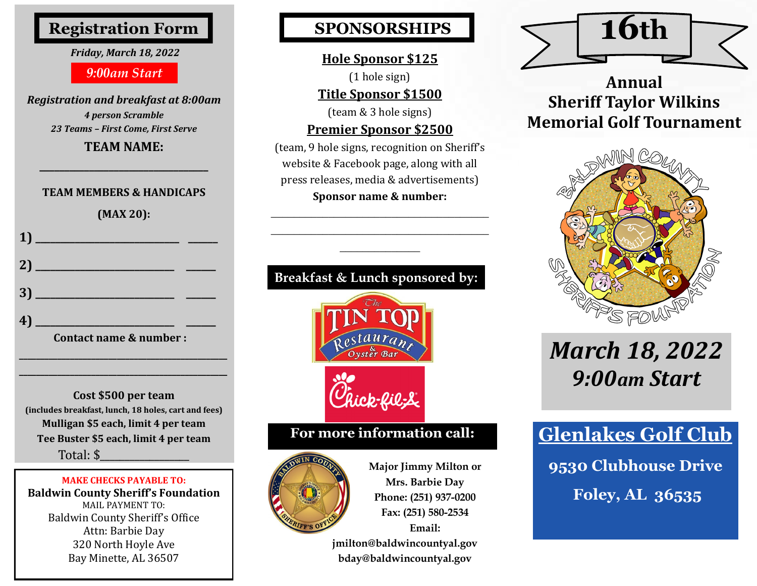# **Registration Form**

#### *Friday, March 18, 2022*

### *9:00am Start*

*Registration and breakfast at 8:00am 4 person Scramble 23 Teams – First Come, First Serve*

**TEAM NAME: \_\_\_\_\_\_\_\_\_\_\_\_\_\_\_\_\_\_\_\_\_\_\_\_\_\_\_\_\_\_\_\_\_\_**

#### **TEAM MEMBERS & HANDICAPS**

**(MAX 20):**



**Cost \$500 per team (includes breakfast, lunch, 18 holes, cart and fees) Mulligan \$5 each, limit 4 per team Tee Buster \$5 each, limit 4 per team**  Total: \$\_\_\_\_\_\_\_\_\_\_\_\_\_\_\_\_\_\_

**\_\_\_\_\_\_\_\_\_\_\_\_\_\_\_\_\_\_\_\_\_\_\_\_\_\_\_\_\_\_\_\_\_\_\_\_\_\_\_\_\_\_\_\_\_\_\_\_\_ \_\_\_\_\_\_\_\_\_\_\_\_\_\_\_\_\_\_\_\_\_\_\_\_\_\_\_\_\_\_\_\_\_\_\_\_\_\_\_\_\_\_\_\_\_\_\_\_\_** 

#### **MAKE CHECKS PAYABLE TO: Baldwin County Sheriff's Foundation** MAIL PAYMENT TO: Baldwin County Sheriff's Office Attn: Barbie Day 320 North Hoyle Ave Bay Minette, AL 36507

# **SPONSORSHIPS**

## **Hole Sponsor \$125**

(1 hole sign)

**Title Sponsor \$1500**

(team & 3 hole signs)

## **Premier Sponsor \$2500**

(team, 9 hole signs, recognition on Sheriff's website & Facebook page, along with all press releases, media & advertisements) **Sponsor name & number:**

 $\overline{\phantom{a}}$  , where  $\overline{\phantom{a}}$  , where  $\overline{\phantom{a}}$  ,  $\overline{\phantom{a}}$  ,  $\overline{\phantom{a}}$  ,  $\overline{\phantom{a}}$  ,  $\overline{\phantom{a}}$  ,  $\overline{\phantom{a}}$  ,  $\overline{\phantom{a}}$  ,  $\overline{\phantom{a}}$  ,  $\overline{\phantom{a}}$  ,  $\overline{\phantom{a}}$  ,  $\overline{\phantom{a}}$  ,  $\overline{\phantom{a}}$  ,  $\overline{\phantom{a}}$  ,  $\overline{\phantom{a}}$  , where  $\overline{\phantom{a}}$  , where  $\overline{\phantom{a}}$  ,  $\overline{\phantom{a}}$  ,  $\overline{\phantom{a}}$  ,  $\overline{\phantom{a}}$  ,  $\overline{\phantom{a}}$  ,  $\overline{\phantom{a}}$  ,  $\overline{\phantom{a}}$  ,  $\overline{\phantom{a}}$  ,  $\overline{\phantom{a}}$  ,  $\overline{\phantom{a}}$  ,  $\overline{\phantom{a}}$  ,  $\overline{\phantom{a}}$  ,  $\overline{\phantom{a}}$  ,  $\overline{\phantom{a}}$ 

## **Breakfast & Lunch sponsored by:**



## **For more information call:**



**Major Jimmy Milton or Mrs. Barbie Day Phone: (251) 937-0200 Fax: (251) 580-2534 Email: jmilton@baldwincountyal.gov** 

**bday@baldwincountyal.gov**



**Annual Sheriff Taylor Wilkins Memorial Golf Tournament**



# *March 18, 2022 9:00am Start*

**Glenlakes Golf Club 9530 Clubhouse Drive Foley, AL 36535**